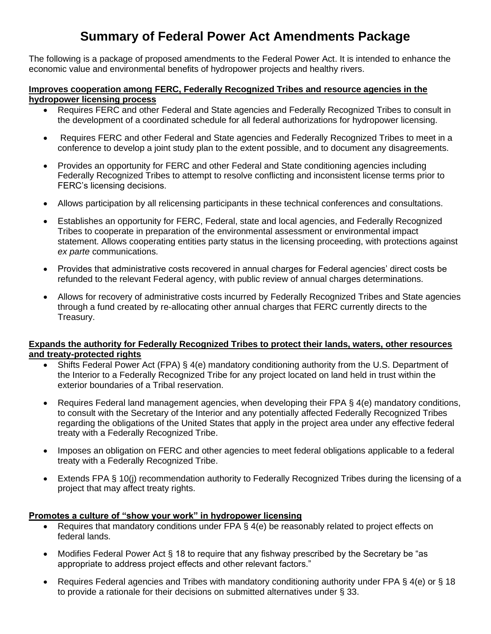# **Summary of Federal Power Act Amendments Package**

The following is a package of proposed amendments to the Federal Power Act. It is intended to enhance the economic value and environmental benefits of hydropower projects and healthy rivers.

#### **Improves cooperation among FERC, Federally Recognized Tribes and resource agencies in the hydropower licensing process**

- Requires FERC and other Federal and State agencies and Federally Recognized Tribes to consult in the development of a coordinated schedule for all federal authorizations for hydropower licensing.
- Requires FERC and other Federal and State agencies and Federally Recognized Tribes to meet in a conference to develop a joint study plan to the extent possible, and to document any disagreements.
- Provides an opportunity for FERC and other Federal and State conditioning agencies including Federally Recognized Tribes to attempt to resolve conflicting and inconsistent license terms prior to FERC's licensing decisions.
- Allows participation by all relicensing participants in these technical conferences and consultations.
- Establishes an opportunity for FERC, Federal, state and local agencies, and Federally Recognized Tribes to cooperate in preparation of the environmental assessment or environmental impact statement. Allows cooperating entities party status in the licensing proceeding, with protections against *ex parte* communications.
- Provides that administrative costs recovered in annual charges for Federal agencies' direct costs be refunded to the relevant Federal agency, with public review of annual charges determinations.
- Allows for recovery of administrative costs incurred by Federally Recognized Tribes and State agencies through a fund created by re-allocating other annual charges that FERC currently directs to the Treasury.

# **Expands the authority for Federally Recognized Tribes to protect their lands, waters, other resources and treaty-protected rights**

- Shifts Federal Power Act (FPA) § 4(e) mandatory conditioning authority from the U.S. Department of the Interior to a Federally Recognized Tribe for any project located on land held in trust within the exterior boundaries of a Tribal reservation.
- Requires Federal land management agencies, when developing their FPA § 4(e) mandatory conditions, to consult with the Secretary of the Interior and any potentially affected Federally Recognized Tribes regarding the obligations of the United States that apply in the project area under any effective federal treaty with a Federally Recognized Tribe.
- Imposes an obligation on FERC and other agencies to meet federal obligations applicable to a federal treaty with a Federally Recognized Tribe.
- Extends FPA § 10(j) recommendation authority to Federally Recognized Tribes during the licensing of a project that may affect treaty rights.

# **Promotes a culture of "show your work" in hydropower licensing**

- Requires that mandatory conditions under FPA § 4(e) be reasonably related to project effects on federal lands.
- Modifies Federal Power Act § 18 to require that any fishway prescribed by the Secretary be "as appropriate to address project effects and other relevant factors."
- Requires Federal agencies and Tribes with mandatory conditioning authority under FPA § 4(e) or § 18 to provide a rationale for their decisions on submitted alternatives under § 33.